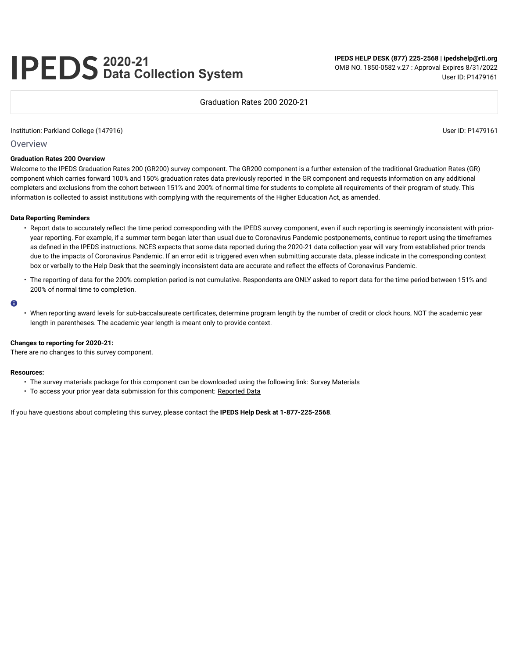# **2020-21 Data Collection System**

**IPEDS HELP DESK (877) 225-2568 | ipedshelp@rti.org** OMB NO. 1850-0582 v.27 : Approval Expires 8/31/2022 User ID: P1479161

#### Graduation Rates 200 2020-21

#### Institution: Parkland College (147916) User ID: P1479161

#### **Overview**

#### **Graduation Rates 200 Overview**

Welcome to the IPEDS Graduation Rates 200 (GR200) survey component. The GR200 component is a further extension of the traditional Graduation Rates (GR) component which carries forward 100% and 150% graduation rates data previously reported in the GR component and requests information on any additional completers and exclusions from the cohort between 151% and 200% of normal time for students to complete all requirements of their program of study. This information is collected to assist institutions with complying with the requirements of the Higher Education Act, as amended.

#### **Data Reporting Reminders**

- Report data to accurately reflect the time period corresponding with the IPEDS survey component, even if such reporting is seemingly inconsistent with prioryear reporting. For example, if a summer term began later than usual due to Coronavirus Pandemic postponements, continue to report using the timeframes as defined in the IPEDS instructions. NCES expects that some data reported during the 2020-21 data collection year will vary from established prior trends due to the impacts of Coronavirus Pandemic. If an error edit is triggered even when submitting accurate data, please indicate in the corresponding context box or verbally to the Help Desk that the seemingly inconsistent data are accurate and reflect the effects of Coronavirus Pandemic.
- The reporting of data for the 200% completion period is not cumulative. Respondents are ONLY asked to report data for the time period between 151% and 200% of normal time to completion.

#### $\bullet$

• When reporting award levels for sub-baccalaureate certificates, determine program length by the number of credit or clock hours, NOT the academic year length in parentheses. The academic year length is meant only to provide context.

#### **Changes to reporting for 2020-21:**

There are no changes to this survey component.

#### **Resources:**

- The survey materials package for this component can be downloaded using the following link: Survey Materials
- To access your prior year data submission for this component: Reported Data

If you have questions about completing this survey, please contact the **IPEDS Help Desk at 1-877-225-2568**.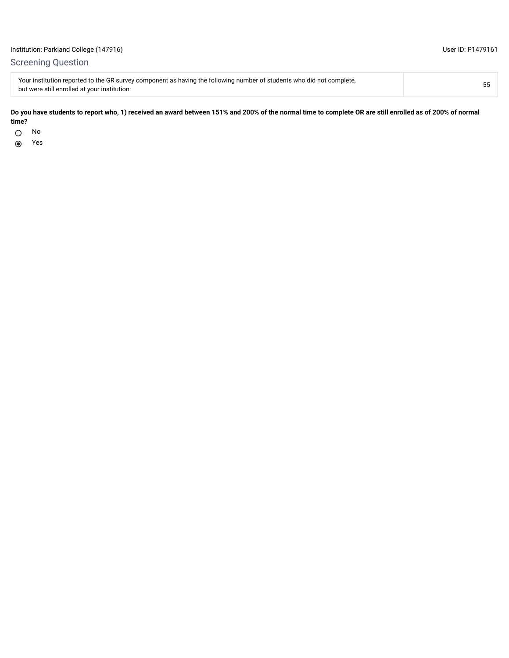## Screening Question

Your institution reported to the GR survey component as having the following number of students who did not complete, rour institution reported to the GK survey component as naving the rollowing number of students who did not complete,<br>but were still enrolled at your institution: 55

#### **Do you have students to report who, 1) received an award between 151% and 200% of the normal time to complete OR are still enrolled as of 200% of normal time?**

 $\bigcirc$ 

No and the state of the state of the state of the state of the state of the state of the state of the state of  $\odot$ Yes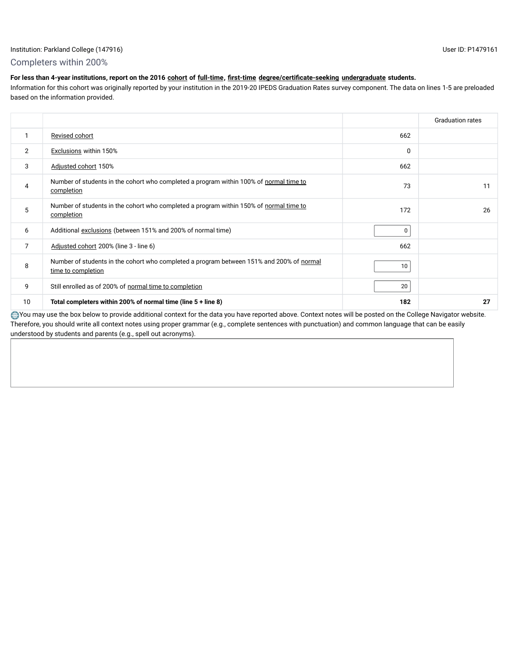## Institution: Parkland College (147916) User ID: P1479161

## Completers within 200%

## **For less than 4-year institutions, report on the 2016 cohort of full-time, first-time degree/certificate-seeking undergraduate students.**

Information for this cohort was originally reported by your institution in the 2019-20 IPEDS Graduation Rates survey component. The data on lines 1-5 are preloaded based on the information provided.

|    |                                                                                                                |          | <b>Graduation rates</b> |
|----|----------------------------------------------------------------------------------------------------------------|----------|-------------------------|
|    | Revised cohort                                                                                                 | 662      |                         |
| 2  | <b>Exclusions within 150%</b>                                                                                  | $\Omega$ |                         |
| 3  | Adjusted cohort 150%                                                                                           | 662      |                         |
| 4  | Number of students in the cohort who completed a program within 100% of normal time to<br>completion           | 73       | 11                      |
| 5  | Number of students in the cohort who completed a program within 150% of normal time to<br>completion           | 172      | 26                      |
| 6  | Additional exclusions (between 151% and 200% of normal time)                                                   | 0        |                         |
| 7  | Adjusted cohort 200% (line 3 - line 6)                                                                         | 662      |                         |
| 8  | Number of students in the cohort who completed a program between 151% and 200% of normal<br>time to completion | 10       |                         |
| 9  | Still enrolled as of 200% of normal time to completion                                                         | 20       |                         |
| 10 | Total completers within 200% of normal time (line $5 +$ line 8)                                                | 182      | 27                      |

You may use the box below to provide additional context for the data you have reported above. Context notes will be posted on the College Navigator website. Therefore, you should write all context notes using proper grammar (e.g., complete sentences with punctuation) and common language that can be easily understood by students and parents (e.g., spell out acronyms).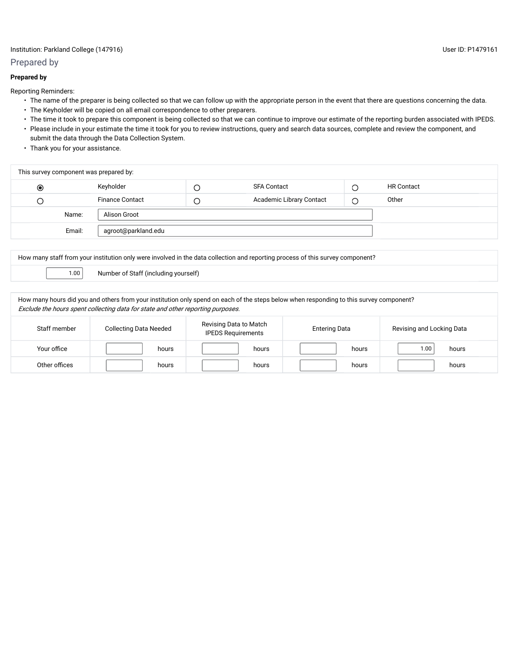## Institution: Parkland College (147916) User ID: P1479161

## Prepared by

## **Prepared by**

Reporting Reminders:

- The name of the preparer is being collected so that we can follow up with the appropriate person in the event that there are questions concerning the data.
- The Keyholder will be copied on all email correspondence to other preparers.
- The time it took to prepare this component is being collected so that we can continue to improve our estimate of the reporting burden associated with IPEDS. • Please include in your estimate the time it took for you to review instructions, query and search data sources, complete and review the component, and submit the data through the Data Collection System.
- Thank you for your assistance.

| This survey component was prepared by: |        |                        |   |                                 |  |                   |  |
|----------------------------------------|--------|------------------------|---|---------------------------------|--|-------------------|--|
| $\circledcirc$                         |        | Keyholder              | Ċ | SFA Contact                     |  | <b>HR Contact</b> |  |
| О                                      |        | <b>Finance Contact</b> | C | <b>Academic Library Contact</b> |  | Other             |  |
|                                        | Name:  | Alison Groot           |   |                                 |  |                   |  |
|                                        | Email: |                        |   |                                 |  |                   |  |
|                                        |        |                        |   |                                 |  |                   |  |

How many staff from your institution only were involved in the data collection and reporting process of this survey component?

1.00 Number of Staff (including yourself)

How many hours did you and others from your institution only spend on each of the steps below when responding to this survey component? Exclude the hours spent collecting data for state and other reporting purposes.

| Staff member  | <b>Collecting Data Needed</b> | Revising Data to Match<br><b>IPEDS Requirements</b> | <b>Entering Data</b> | Revising and Locking Data |  |
|---------------|-------------------------------|-----------------------------------------------------|----------------------|---------------------------|--|
| Your office   | hours                         | hours                                               | hours                | 1.00<br>hours             |  |
| Other offices | hours                         | hours                                               | hours                | hours                     |  |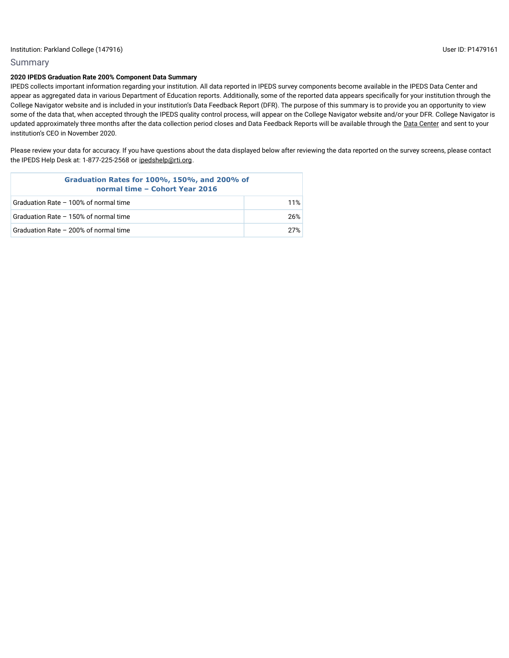## Summary

## **2020 IPEDS Graduation Rate 200% Component Data Summary**

IPEDS collects important information regarding your institution. All data reported in IPEDS survey components become available in the IPEDS Data Center and appear as aggregated data in various Department of Education reports. Additionally, some of the reported data appears specifically for your institution through the College Navigator website and is included in your institution's Data Feedback Report (DFR). The purpose of this summary is to provide you an opportunity to view some of the data that, when accepted through the IPEDS quality control process, will appear on the College Navigator website and/or your DFR. College Navigator is updated approximately three months after the data collection period closes and Data Feedback Reports will be available through the Data Center and sent to your institution's CEO in November 2020.

Please review your data for accuracy. If you have questions about the data displayed below after reviewing the data reported on the survey screens, please contact the IPEDS Help Desk at: 1-877-225-2568 or ipedshelp@rti.org.

| Graduation Rates for 100%, 150%, and 200% of<br>normal time - Cohort Year 2016 |     |  |  |  |
|--------------------------------------------------------------------------------|-----|--|--|--|
| Graduation Rate - 100% of normal time                                          | 11% |  |  |  |
| Graduation Rate - 150% of normal time                                          | 26% |  |  |  |
| Graduation Rate - 200% of normal time                                          | 27% |  |  |  |